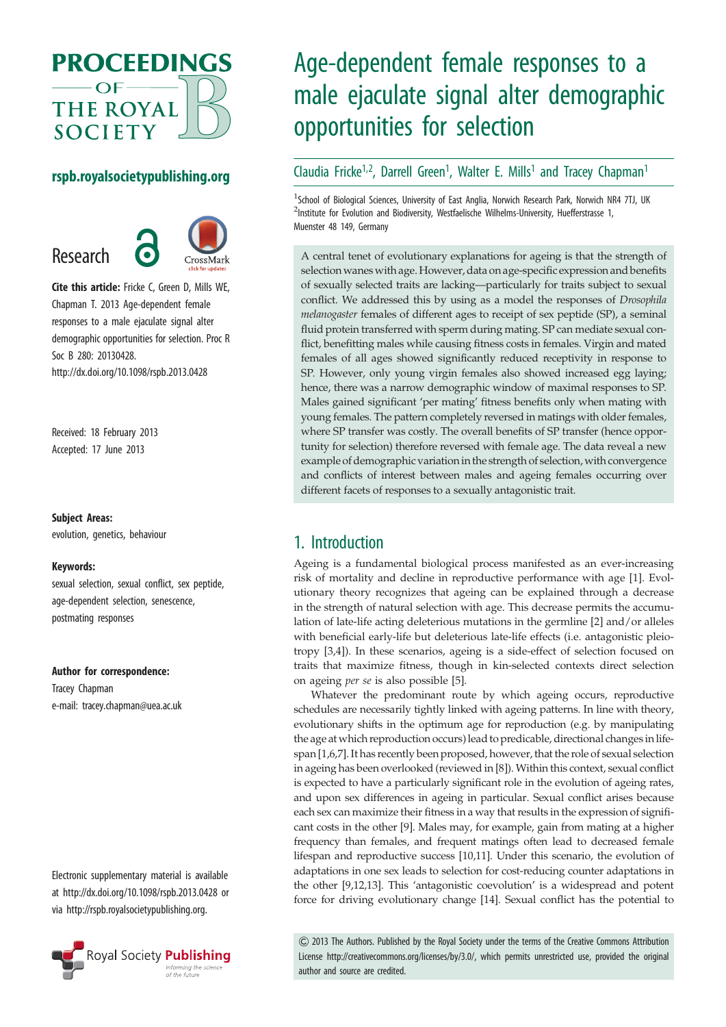

### rspb.royalsocietypublishing.org

Research



Cite this article: Fricke C, Green D, Mills WE, Chapman T. 2013 Age-dependent female responses to a male ejaculate signal alter demographic opportunities for selection. Proc R Soc B 280: 20130428. http://dx.doi.org/10.1098/rspb.2013.0428

Received: 18 February 2013 Accepted: 17 June 2013

Subject Areas:

evolution, genetics, behaviour

#### Keywords:

sexual selection, sexual conflict, sex peptide, age-dependent selection, senescence, postmating responses

#### Author for correspondence:

Tracey Chapman e-mail: [tracey.chapman@uea.ac.uk](mailto:tracey.chapman@uea.ac.uk)

Electronic supplementary material is available at<http://dx.doi.org/10.1098/rspb.2013.0428> or via<http://rspb.royalsocietypublishing.org>.



# Age-dependent female responses to a male ejaculate signal alter demographic opportunities for selection

### Claudia Fricke<sup>1,2</sup>, Darrell Green<sup>1</sup>, Walter E. Mills<sup>1</sup> and Tracey Chapman<sup>1</sup>

<sup>1</sup>School of Biological Sciences, University of East Anglia, Norwich Research Park, Norwich NR4 7TJ, UK <sup>2</sup>Institute for Evolution and Biodiversity, Westfaelische Wilhelms-University, Huefferstrasse 1, Muenster 48 149, Germany

A central tenet of evolutionary explanations for ageing is that the strength of selection wanes with age. However, data on age-specific expression and benefits of sexually selected traits are lacking—particularly for traits subject to sexual conflict. We addressed this by using as a model the responses of Drosophila melanogaster females of different ages to receipt of sex peptide (SP), a seminal fluid protein transferred with sperm during mating. SP can mediate sexual conflict, benefitting males while causing fitness costs in females. Virgin and mated females of all ages showed significantly reduced receptivity in response to SP. However, only young virgin females also showed increased egg laying; hence, there was a narrow demographic window of maximal responses to SP. Males gained significant 'per mating' fitness benefits only when mating with young females. The pattern completely reversed in matings with older females, where SP transfer was costly. The overall benefits of SP transfer (hence opportunity for selection) therefore reversed with female age. The data reveal a new example of demographic variation in the strength of selection, with convergence and conflicts of interest between males and ageing females occurring over different facets of responses to a sexually antagonistic trait.

# 1. Introduction

Ageing is a fundamental biological process manifested as an ever-increasing risk of mortality and decline in reproductive performance with age [\[1\]](#page-5-0). Evolutionary theory recognizes that ageing can be explained through a decrease in the strength of natural selection with age. This decrease permits the accumulation of late-life acting deleterious mutations in the germline [\[2\]](#page-5-0) and/or alleles with beneficial early-life but deleterious late-life effects (i.e. antagonistic pleiotropy [[3,4\]](#page-5-0)). In these scenarios, ageing is a side-effect of selection focused on traits that maximize fitness, though in kin-selected contexts direct selection on ageing per se is also possible [\[5\]](#page-5-0).

Whatever the predominant route by which ageing occurs, reproductive schedules are necessarily tightly linked with ageing patterns. In line with theory, evolutionary shifts in the optimum age for reproduction (e.g. by manipulating the age at which reproduction occurs) lead to predicable, directional changes in lifespan [[1,6,7](#page-5-0)]. It has recently been proposed, however, that the role of sexual selection in ageing has been overlooked (reviewed in [\[8\]](#page-5-0)). Within this context, sexual conflict is expected to have a particularly significant role in the evolution of ageing rates, and upon sex differences in ageing in particular. Sexual conflict arises because each sex can maximize their fitness in a way that results in the expression of significant costs in the other [\[9\]](#page-5-0). Males may, for example, gain from mating at a higher frequency than females, and frequent matings often lead to decreased female lifespan and reproductive success [\[10](#page-5-0)[,11](#page-6-0)]. Under this scenario, the evolution of adaptations in one sex leads to selection for cost-reducing counter adaptations in the other [\[9](#page-5-0)[,12,13\]](#page-6-0). This 'antagonistic coevolution' is a widespread and potent force for driving evolutionary change [\[14\]](#page-6-0). Sexual conflict has the potential to

& 2013 The Authors. Published by the Royal Society under the terms of the Creative Commons Attribution License http://creativecommons.org/licenses/by/3.0/, which permits unrestricted use, provided the original author and source are credited.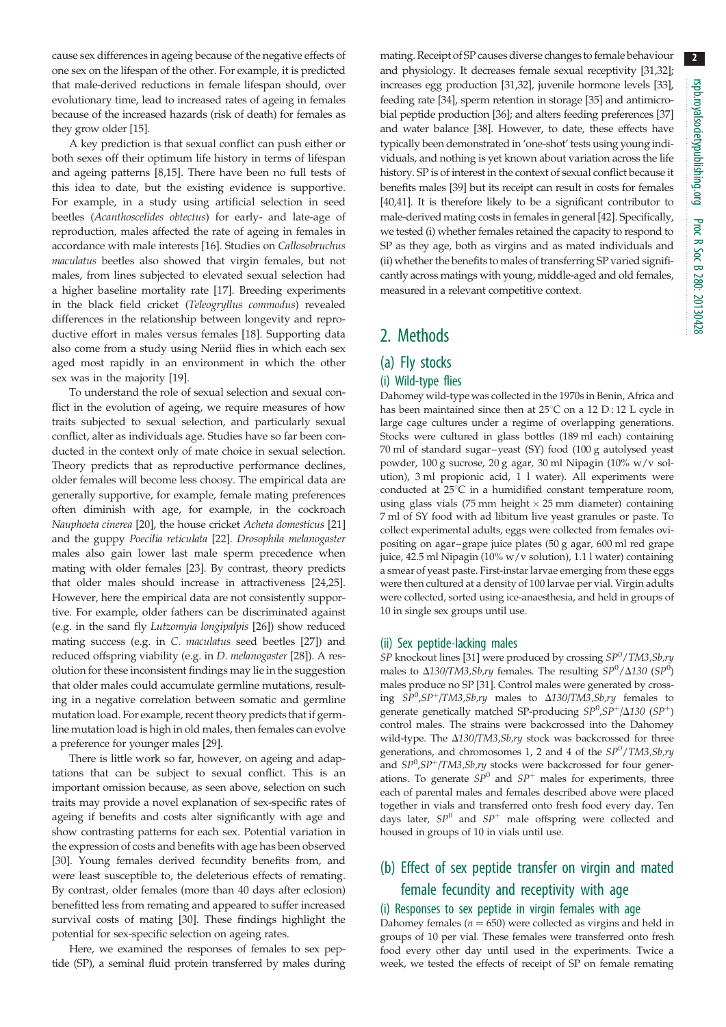cause sex differences in ageing because of the negative effects of one sex on the lifespan of the other. For example, it is predicted that male-derived reductions in female lifespan should, over evolutionary time, lead to increased rates of ageing in females because of the increased hazards (risk of death) for females as they grow older [\[15](#page-6-0)].

A key prediction is that sexual conflict can push either or both sexes off their optimum life history in terms of lifespan and ageing patterns [[8](#page-5-0)[,15](#page-6-0)]. There have been no full tests of this idea to date, but the existing evidence is supportive. For example, in a study using artificial selection in seed beetles (Acanthoscelides obtectus) for early- and late-age of reproduction, males affected the rate of ageing in females in accordance with male interests [\[16](#page-6-0)]. Studies on Callosobruchus maculatus beetles also showed that virgin females, but not males, from lines subjected to elevated sexual selection had a higher baseline mortality rate [\[17](#page-6-0)]. Breeding experiments in the black field cricket (Teleogryllus commodus) revealed differences in the relationship between longevity and reproductive effort in males versus females [\[18](#page-6-0)]. Supporting data also come from a study using Neriid flies in which each sex aged most rapidly in an environment in which the other sex was in the majority [\[19](#page-6-0)].

To understand the role of sexual selection and sexual conflict in the evolution of ageing, we require measures of how traits subjected to sexual selection, and particularly sexual conflict, alter as individuals age. Studies have so far been conducted in the context only of mate choice in sexual selection. Theory predicts that as reproductive performance declines, older females will become less choosy. The empirical data are generally supportive, for example, female mating preferences often diminish with age, for example, in the cockroach Nauphoeta cinerea [\[20](#page-6-0)], the house cricket Acheta domesticus [[21\]](#page-6-0) and the guppy Poecilia reticulata [[22\]](#page-6-0). Drosophila melanogaster males also gain lower last male sperm precedence when mating with older females [\[23](#page-6-0)]. By contrast, theory predicts that older males should increase in attractiveness [\[24,25](#page-6-0)]. However, here the empirical data are not consistently supportive. For example, older fathers can be discriminated against (e.g. in the sand fly Lutzomyia longipalpis [[26\]](#page-6-0)) show reduced mating success (e.g. in C. maculatus seed beetles [\[27](#page-6-0)]) and reduced offspring viability (e.g. in D. melanogaster [\[28\]](#page-6-0)). A resolution for these inconsistent findings may lie in the suggestion that older males could accumulate germline mutations, resulting in a negative correlation between somatic and germline mutation load. For example, recent theory predicts that if germline mutation load is high in old males, then females can evolve a preference for younger males [[29\]](#page-6-0).

There is little work so far, however, on ageing and adaptations that can be subject to sexual conflict. This is an important omission because, as seen above, selection on such traits may provide a novel explanation of sex-specific rates of ageing if benefits and costs alter significantly with age and show contrasting patterns for each sex. Potential variation in the expression of costs and benefits with age has been observed [\[30](#page-6-0)]. Young females derived fecundity benefits from, and were least susceptible to, the deleterious effects of remating. By contrast, older females (more than 40 days after eclosion) benefitted less from remating and appeared to suffer increased survival costs of mating [\[30](#page-6-0)]. These findings highlight the potential for sex-specific selection on ageing rates.

Here, we examined the responses of females to sex peptide (SP), a seminal fluid protein transferred by males during mating. Receipt of SP causes diverse changes to female behaviour and physiology. It decreases female sexual receptivity [\[31,32\]](#page-6-0); increases egg production [\[31,32](#page-6-0)], juvenile hormone levels [\[33\]](#page-6-0), feeding rate [\[34\]](#page-6-0), sperm retention in storage [[35](#page-6-0)] and antimicrobial peptide production [[36](#page-6-0)]; and alters feeding preferences [\[37\]](#page-6-0) and water balance [\[38\]](#page-6-0). However, to date, these effects have typically been demonstrated in 'one-shot' tests using young individuals, and nothing is yet known about variation across the life history. SP is of interest in the context of sexual conflict because it benefits males [\[39\]](#page-6-0) but its receipt can result in costs for females [[40,41\]](#page-6-0). It is therefore likely to be a significant contributor to male-derived mating costs in females in general [\[42\]](#page-6-0). Specifically, we tested (i) whether females retained the capacity to respond to SP as they age, both as virgins and as mated individuals and (ii) whether the benefits to males of transferring SP varied significantly across matings with young, middle-aged and old females, measured in a relevant competitive context.

# 2. Methods

# (a) Fly stocks

#### (i) Wild-type flies

Dahomey wild-type was collected in the 1970s in Benin, Africa and has been maintained since then at  $25^{\circ}$ C on a 12 D : 12 L cycle in large cage cultures under a regime of overlapping generations. Stocks were cultured in glass bottles (189 ml each) containing 70 ml of standard sugar–yeast (SY) food (100 g autolysed yeast powder, 100 g sucrose, 20 g agar, 30 ml Nipagin (10% w/v solution), 3 ml propionic acid, 1 l water). All experiments were conducted at  $25^{\circ}$ C in a humidified constant temperature room, using glass vials (75 mm height  $\times$  25 mm diameter) containing 7 ml of SY food with ad libitum live yeast granules or paste. To collect experimental adults, eggs were collected from females ovipositing on agar–grape juice plates (50 g agar, 600 ml red grape juice, 42.5 ml Nipagin (10% w/v solution), 1.1 l water) containing a smear of yeast paste. First-instar larvae emerging from these eggs were then cultured at a density of 100 larvae per vial. Virgin adults were collected, sorted using ice-anaesthesia, and held in groups of 10 in single sex groups until use.

#### (ii) Sex peptide-lacking males

 $SP$  knockout lines [\[31\]](#page-6-0) were produced by crossing  $SP<sup>0</sup>/TM3, Sb, ry$ males to  $\Delta$ 130/TM3,Sb,ry females. The resulting SP<sup>0</sup>/ $\Delta$ 130 (SP<sup>0</sup>) males produce no SP [\[31\]](#page-6-0). Control males were generated by crossing  $SP^0, SP^+/TM3, Sb, ry$  males to  $\Delta 130/TM3, Sb, ry$  females to generate genetically matched SP-producing  $SP^{0}, SP^{+}/\Delta 130$  (SP<sup>+</sup>) control males. The strains were backcrossed into the Dahomey wild-type. The  $\Delta$ 130/TM3,Sb,ry stock was backcrossed for three generations, and chromosomes 1, 2 and 4 of the  $SP^0/TM3, Sb, ry$ and  $SP^{0}, SP^{+}/TMS, Sb, ry$  stocks were backcrossed for four generations. To generate  $SP^0$  and  $SP^+$  males for experiments, three each of parental males and females described above were placed together in vials and transferred onto fresh food every day. Ten days later,  $SP^{0}$  and  $SP^{+}$  male offspring were collected and housed in groups of 10 in vials until use.

# (b) Effect of sex peptide transfer on virgin and mated female fecundity and receptivity with age

#### (i) Responses to sex peptide in virgin females with age

Dahomey females ( $n = 650$ ) were collected as virgins and held in groups of 10 per vial. These females were transferred onto fresh food every other day until used in the experiments. Twice a week, we tested the effects of receipt of SP on female remating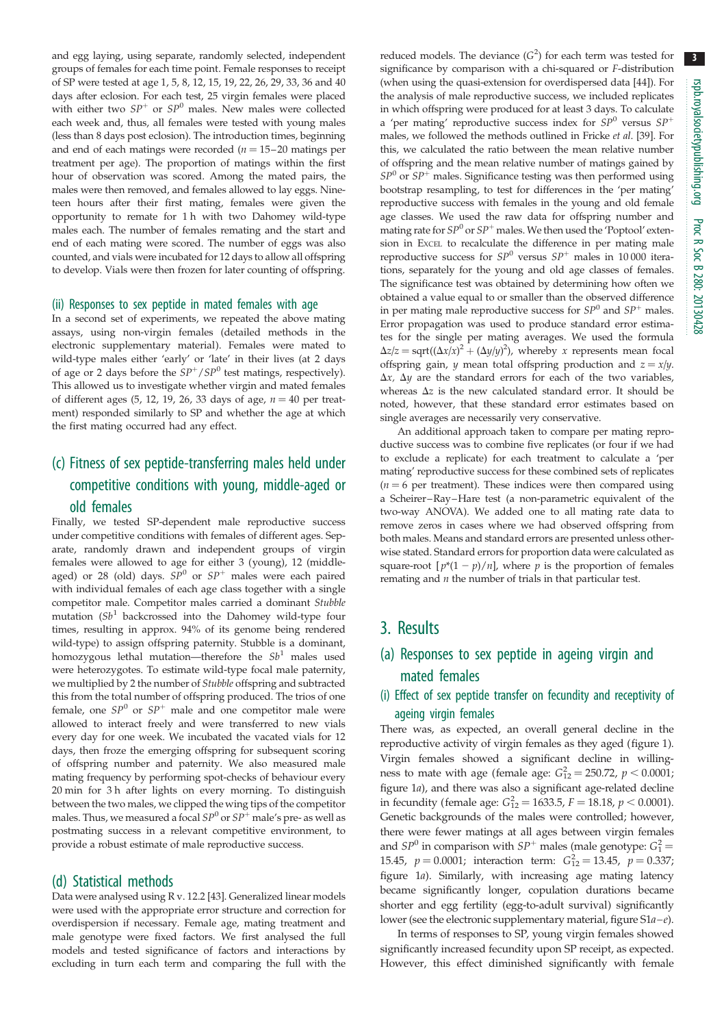and egg laying, using separate, randomly selected, independent groups of females for each time point. Female responses to receipt of SP were tested at age 1, 5, 8, 12, 15, 19, 22, 26, 29, 33, 36 and 40 days after eclosion. For each test, 25 virgin females were placed with either two  $SP^+$  or  $SP^0$  males. New males were collected each week and, thus, all females were tested with young males (less than 8 days post eclosion). The introduction times, beginning and end of each matings were recorded ( $n = 15-20$  matings per treatment per age). The proportion of matings within the first hour of observation was scored. Among the mated pairs, the males were then removed, and females allowed to lay eggs. Nineteen hours after their first mating, females were given the opportunity to remate for 1 h with two Dahomey wild-type males each. The number of females remating and the start and end of each mating were scored. The number of eggs was also counted, and vials were incubated for 12 days to allow all offspring to develop. Vials were then frozen for later counting of offspring.

#### (ii) Responses to sex peptide in mated females with age

In a second set of experiments, we repeated the above mating assays, using non-virgin females (detailed methods in the electronic supplementary material). Females were mated to wild-type males either 'early' or 'late' in their lives (at 2 days of age or 2 days before the  $SP^+/SP^0$  test matings, respectively). This allowed us to investigate whether virgin and mated females of different ages (5, 12, 19, 26, 33 days of age,  $n = 40$  per treatment) responded similarly to SP and whether the age at which the first mating occurred had any effect.

# (c) Fitness of sex peptide-transferring males held under competitive conditions with young, middle-aged or old females

Finally, we tested SP-dependent male reproductive success under competitive conditions with females of different ages. Separate, randomly drawn and independent groups of virgin females were allowed to age for either 3 (young), 12 (middleaged) or 28 (old) days.  $SP^{0}$  or  $SP^{+}$  males were each paired with individual females of each age class together with a single competitor male. Competitor males carried a dominant Stubble mutation  $(Sb<sup>1</sup>$  backcrossed into the Dahomey wild-type four times, resulting in approx. 94% of its genome being rendered wild-type) to assign offspring paternity. Stubble is a dominant, homozygous lethal mutation—therefore the  $Sb<sup>1</sup>$  males used were heterozygotes. To estimate wild-type focal male paternity, we multiplied by 2 the number of Stubble offspring and subtracted this from the total number of offspring produced. The trios of one female, one  $SP^0$  or  $SP^+$  male and one competitor male were allowed to interact freely and were transferred to new vials every day for one week. We incubated the vacated vials for 12 days, then froze the emerging offspring for subsequent scoring of offspring number and paternity. We also measured male mating frequency by performing spot-checks of behaviour every 20 min for 3 h after lights on every morning. To distinguish between the two males, we clipped the wing tips of the competitor males. Thus, we measured a focal  $SP^{0}$  or  $SP^{+}$  male's pre- as well as postmating success in a relevant competitive environment, to provide a robust estimate of male reproductive success.

### (d) Statistical methods

Data were analysed using R v. 12.2 [[43](#page-6-0)]. Generalized linear models were used with the appropriate error structure and correction for overdispersion if necessary. Female age, mating treatment and male genotype were fixed factors. We first analysed the full models and tested significance of factors and interactions by excluding in turn each term and comparing the full with the

reduced models. The deviance  $(G^2)$  for each term was tested for significance by comparison with a chi-squared or F-distribution (when using the quasi-extension for overdispersed data [\[44\]](#page-6-0)). For the analysis of male reproductive success, we included replicates in which offspring were produced for at least 3 days. To calculate a 'per mating' reproductive success index for  $SP^{0}$  versus  $SP^{+}$ males, we followed the methods outlined in Fricke et al. [[39](#page-6-0)]. For this, we calculated the ratio between the mean relative number of offspring and the mean relative number of matings gained by  $SP^{0}$  or  $SP^{+}$  males. Significance testing was then performed using bootstrap resampling, to test for differences in the 'per mating' reproductive success with females in the young and old female age classes. We used the raw data for offspring number and mating rate for  $SP^0$  or  $SP^+$  males. We then used the 'Poptool' extension in EXCEL to recalculate the difference in per mating male reproductive success for  $SP^0$  versus  $SP^+$  males in 10 000 iterations, separately for the young and old age classes of females. The significance test was obtained by determining how often we obtained a value equal to or smaller than the observed difference in per mating male reproductive success for  $SP^0$  and  $SP^+$  males. Error propagation was used to produce standard error estimates for the single per mating averages. We used the formula  $\Delta z/z = \text{sqrt}((\Delta x/x)^2 + (\Delta y/y)^2)$ , whereby x represents mean focal offspring gain, y mean total offspring production and  $z = x/y$ .  $\Delta x$ ,  $\Delta y$  are the standard errors for each of the two variables, whereas  $\Delta z$  is the new calculated standard error. It should be noted, however, that these standard error estimates based on single averages are necessarily very conservative.

An additional approach taken to compare per mating reproductive success was to combine five replicates (or four if we had to exclude a replicate) for each treatment to calculate a 'per mating' reproductive success for these combined sets of replicates  $(n = 6$  per treatment). These indices were then compared using a Scheirer–Ray–Hare test (a non-parametric equivalent of the two-way ANOVA). We added one to all mating rate data to remove zeros in cases where we had observed offspring from both males. Means and standard errors are presented unless otherwise stated. Standard errors for proportion data were calculated as square-root  $[p^*(1 - p)/n]$ , where p is the proportion of females remating and  $n$  the number of trials in that particular test.

### 3. Results

## (a) Responses to sex peptide in ageing virgin and mated females

### (i) Effect of sex peptide transfer on fecundity and receptivity of ageing virgin females

There was, as expected, an overall general decline in the reproductive activity of virgin females as they aged [\(figure 1\)](#page-3-0). Virgin females showed a significant decline in willingness to mate with age (female age:  $G_{12}^2 = 250.72$ ,  $p < 0.0001$ ; [figure 1](#page-3-0)a), and there was also a significant age-related decline in fecundity (female age:  $G_{12}^2 = 1633.5$ ,  $F = 18.18$ ,  $p < 0.0001$ ). Genetic backgrounds of the males were controlled; however, there were fewer matings at all ages between virgin females and  $SP^0$  in comparison with  $SP^+$  males (male genotype:  $G_1^2$  = 15.45,  $p = 0.0001$ ; interaction term:  $G_{12}^2 = 13.45$ ,  $p = 0.337$ ; [figure 1](#page-3-0)a). Similarly, with increasing age mating latency became significantly longer, copulation durations became shorter and egg fertility (egg-to-adult survival) significantly lower (see the electronic supplementary material, figure  $S1a-e$ ).

In terms of responses to SP, young virgin females showed significantly increased fecundity upon SP receipt, as expected. However, this effect diminished significantly with female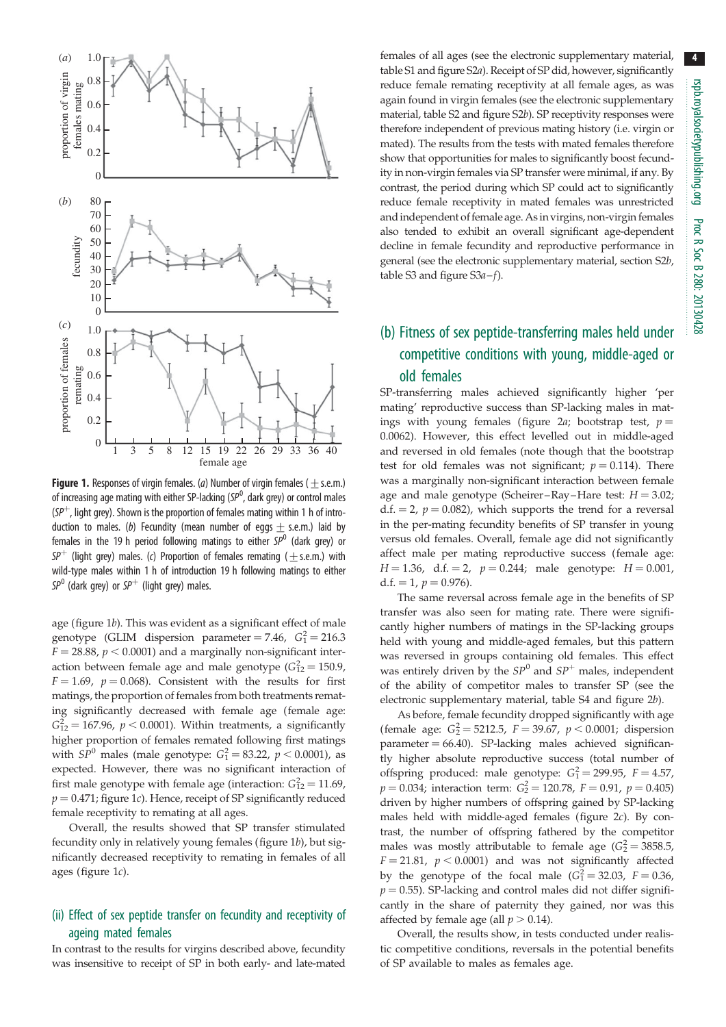

rspb.royalsocietypublishing.org

4

Proc R Soc B 280: 20130428

<span id="page-3-0"></span>

**Figure 1.** Responses of virgin females. (a) Number of virgin females ( $\pm$  s.e.m.) of increasing age mating with either SP-lacking (SP<sup>0</sup>, dark grey) or control males ( $SP<sup>+</sup>$ , light grey). Shown is the proportion of females mating within 1 h of introduction to males. (b) Fecundity (mean number of eggs  $\pm$  s.e.m.) laid by females in the 19 h period following matings to either  $SP^0$  (dark grey) or  $SP^+$  (light grey) males. (c) Proportion of females remating ( $\pm$  s.e.m.) with wild-type males within 1 h of introduction 19 h following matings to either  $SP^0$  (dark grey) or  $SP^+$  (light grey) males.

age (figure 1b). This was evident as a significant effect of male genotype (GLIM dispersion parameter = 7.46,  $G_1^2 = 216.3$  $F = 28.88$ ,  $p < 0.0001$ ) and a marginally non-significant interaction between female age and male genotype  $(G_{12}^2 = 150.9)$ ,  $F = 1.69$ ,  $p = 0.068$ ). Consistent with the results for first matings, the proportion of females from both treatments remating significantly decreased with female age (female age:  $G_{12}^2 = 167.96$ ,  $p < 0.0001$ ). Within treatments, a significantly higher proportion of females remated following first matings with  $SP^{0}$  males (male genotype:  $G_{1}^{2} = 83.22, p < 0.0001$ ), as expected. However, there was no significant interaction of first male genotype with female age (interaction:  $G_{12}^2 = 11.69$ )  $p = 0.471$ ; figure 1c). Hence, receipt of SP significantly reduced female receptivity to remating at all ages.

Overall, the results showed that SP transfer stimulated fecundity only in relatively young females (figure 1b), but significantly decreased receptivity to remating in females of all ages (figure 1c).

### (ii) Effect of sex peptide transfer on fecundity and receptivity of ageing mated females

In contrast to the results for virgins described above, fecundity was insensitive to receipt of SP in both early- and late-mated females of all ages (see the electronic supplementary material, table S1 and figure S2a). Receipt of SP did, however, significantly reduce female remating receptivity at all female ages, as was again found in virgin females (see the electronic supplementary material, table S2 and figure S2b). SP receptivity responses were therefore independent of previous mating history (i.e. virgin or mated). The results from the tests with mated females therefore show that opportunities for males to significantly boost fecundity in non-virgin females via SP transfer were minimal, if any. By contrast, the period during which SP could act to significantly reduce female receptivity in mated females was unrestricted and independent of female age. As in virgins, non-virgin females also tended to exhibit an overall significant age-dependent decline in female fecundity and reproductive performance in general (see the electronic supplementary material, section S2b, table S3 and figure  $S3a-f$ ).

# (b) Fitness of sex peptide-transferring males held under competitive conditions with young, middle-aged or old females

SP-transferring males achieved significantly higher 'per mating' reproductive success than SP-lacking males in matings with young females ([figure 2](#page-4-0)a; bootstrap test,  $p =$ 0.0062). However, this effect levelled out in middle-aged and reversed in old females (note though that the bootstrap test for old females was not significant;  $p = 0.114$ ). There was a marginally non-significant interaction between female age and male genotype (Scheirer-Ray-Hare test:  $H = 3.02$ ; d.f. = 2,  $p = 0.082$ ), which supports the trend for a reversal in the per-mating fecundity benefits of SP transfer in young versus old females. Overall, female age did not significantly affect male per mating reproductive success (female age:  $H = 1.36$ , d.f.  $= 2$ ,  $p = 0.244$ ; male genotype:  $H = 0.001$ , d.f.  $= 1$ ,  $p = 0.976$ ).

The same reversal across female age in the benefits of SP transfer was also seen for mating rate. There were significantly higher numbers of matings in the SP-lacking groups held with young and middle-aged females, but this pattern was reversed in groups containing old females. This effect was entirely driven by the  $SP^0$  and  $SP^+$  males, independent of the ability of competitor males to transfer SP (see the electronic supplementary material, table S4 and [figure 2](#page-4-0)b).

As before, female fecundity dropped significantly with age (female age:  $G_2^2 = 5212.5$ ,  $F = 39.67$ ,  $p < 0.0001$ ; dispersion parameter  $= 66.40$ ). SP-lacking males achieved significantly higher absolute reproductive success (total number of offspring produced: male genotype:  $G_1^2 = 299.95$ ,  $F = 4.57$ ,  $p = 0.034$ ; interaction term:  $G_2^2 = 120.78$ ,  $F = 0.91$ ,  $p = 0.405$ ) driven by higher numbers of offspring gained by SP-lacking males held with middle-aged females ([figure 2](#page-4-0)c). By contrast, the number of offspring fathered by the competitor males was mostly attributable to female age  $(G_2^2 = 3858.5)$ ,  $F = 21.81$ ,  $p < 0.0001$ ) and was not significantly affected by the genotype of the focal male  $(G_1^2 = 32.03, F = 0.36,$  $p = 0.55$ ). SP-lacking and control males did not differ significantly in the share of paternity they gained, nor was this affected by female age (all  $p > 0.14$ ).

Overall, the results show, in tests conducted under realistic competitive conditions, reversals in the potential benefits of SP available to males as females age.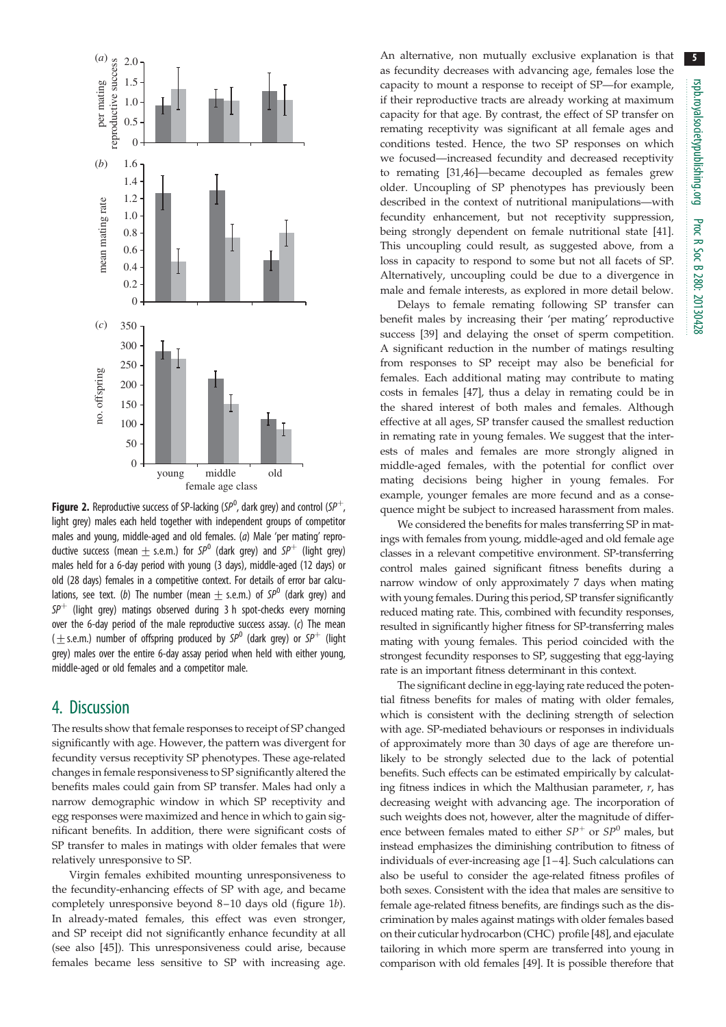<span id="page-4-0"></span>

**Figure 2.** Reproductive success of SP-lacking (SP<sup>O</sup>, dark grey) and control (SP<sup>+</sup>, light grey) males each held together with independent groups of competitor males and young, middle-aged and old females. (a) Male 'per mating' reproductive success (mean  $+$  s.e.m.) for SP<sup>0</sup> (dark grey) and SP<sup>+</sup> (light grey) males held for a 6-day period with young (3 days), middle-aged (12 days) or old (28 days) females in a competitive context. For details of error bar calculations, see text. (b) The number (mean  $+$  s.e.m.) of  $SP^0$  (dark grey) and  $SP^+$  (light grey) matings observed during 3 h spot-checks every morning over the 6-day period of the male reproductive success assay. (c) The mean ( $\pm$  s.e.m.) number of offspring produced by SP<sup>0</sup> (dark grey) or SP<sup>+</sup> (light grey) males over the entire 6-day assay period when held with either young, middle-aged or old females and a competitor male.

### 4. Discussion

The results show that female responses to receipt of SP changed significantly with age. However, the pattern was divergent for fecundity versus receptivity SP phenotypes. These age-related changes in female responsiveness to SP significantly altered the benefits males could gain from SP transfer. Males had only a narrow demographic window in which SP receptivity and egg responses were maximized and hence in which to gain significant benefits. In addition, there were significant costs of SP transfer to males in matings with older females that were relatively unresponsive to SP.

Virgin females exhibited mounting unresponsiveness to the fecundity-enhancing effects of SP with age, and became completely unresponsive beyond 8–10 days old [\(figure 1](#page-3-0)b). In already-mated females, this effect was even stronger, and SP receipt did not significantly enhance fecundity at all (see also [[45\]](#page-6-0)). This unresponsiveness could arise, because females became less sensitive to SP with increasing age. An alternative, non mutually exclusive explanation is that as fecundity decreases with advancing age, females lose the capacity to mount a response to receipt of SP—for example, if their reproductive tracts are already working at maximum capacity for that age. By contrast, the effect of SP transfer on remating receptivity was significant at all female ages and conditions tested. Hence, the two SP responses on which we focused—increased fecundity and decreased receptivity to remating [\[31,46](#page-6-0)]—became decoupled as females grew older. Uncoupling of SP phenotypes has previously been described in the context of nutritional manipulations—with fecundity enhancement, but not receptivity suppression, being strongly dependent on female nutritional state [[41\]](#page-6-0). This uncoupling could result, as suggested above, from a loss in capacity to respond to some but not all facets of SP. Alternatively, uncoupling could be due to a divergence in male and female interests, as explored in more detail below.

Delays to female remating following SP transfer can benefit males by increasing their 'per mating' reproductive success [[39\]](#page-6-0) and delaying the onset of sperm competition. A significant reduction in the number of matings resulting from responses to SP receipt may also be beneficial for females. Each additional mating may contribute to mating costs in females [[47\]](#page-6-0), thus a delay in remating could be in the shared interest of both males and females. Although effective at all ages, SP transfer caused the smallest reduction in remating rate in young females. We suggest that the interests of males and females are more strongly aligned in middle-aged females, with the potential for conflict over mating decisions being higher in young females. For example, younger females are more fecund and as a consequence might be subject to increased harassment from males.

We considered the benefits for males transferring SP in matings with females from young, middle-aged and old female age classes in a relevant competitive environment. SP-transferring control males gained significant fitness benefits during a narrow window of only approximately 7 days when mating with young females. During this period, SP transfer significantly reduced mating rate. This, combined with fecundity responses, resulted in significantly higher fitness for SP-transferring males mating with young females. This period coincided with the strongest fecundity responses to SP, suggesting that egg-laying rate is an important fitness determinant in this context.

The significant decline in egg-laying rate reduced the potential fitness benefits for males of mating with older females, which is consistent with the declining strength of selection with age. SP-mediated behaviours or responses in individuals of approximately more than 30 days of age are therefore unlikely to be strongly selected due to the lack of potential benefits. Such effects can be estimated empirically by calculating fitness indices in which the Malthusian parameter,  $r$ , has decreasing weight with advancing age. The incorporation of such weights does not, however, alter the magnitude of difference between females mated to either  $SP^+$  or  $SP^0$  males, but instead emphasizes the diminishing contribution to fitness of individuals of ever-increasing age [[1](#page-5-0)–[4\]](#page-5-0). Such calculations can also be useful to consider the age-related fitness profiles of both sexes. Consistent with the idea that males are sensitive to female age-related fitness benefits, are findings such as the discrimination by males against matings with older females based on their cuticular hydrocarbon (CHC) profile [[48\]](#page-6-0), and ejaculate tailoring in which more sperm are transferred into young in comparison with old females [[49](#page-6-0)]. It is possible therefore that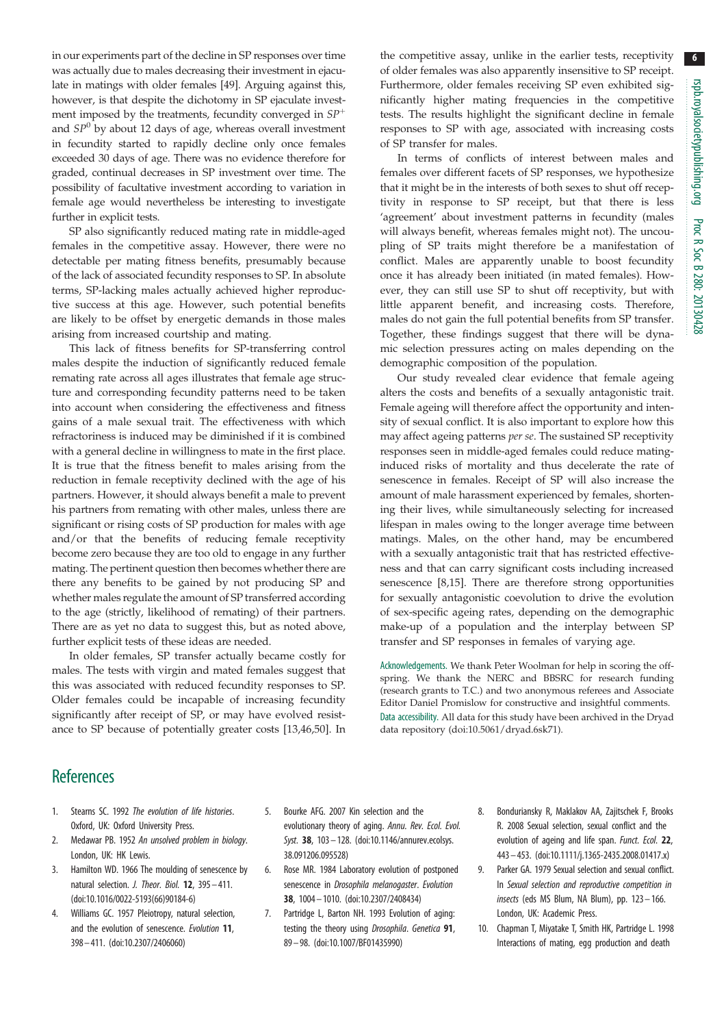<span id="page-5-0"></span>in our experiments part of the decline in SP responses over time was actually due to males decreasing their investment in ejaculate in matings with older females [[49](#page-6-0)]. Arguing against this, however, is that despite the dichotomy in SP ejaculate investment imposed by the treatments, fecundity converged in  $SP^+$ and  $SP<sup>0</sup>$  by about 12 days of age, whereas overall investment in fecundity started to rapidly decline only once females exceeded 30 days of age. There was no evidence therefore for graded, continual decreases in SP investment over time. The possibility of facultative investment according to variation in female age would nevertheless be interesting to investigate further in explicit tests.

SP also significantly reduced mating rate in middle-aged females in the competitive assay. However, there were no detectable per mating fitness benefits, presumably because of the lack of associated fecundity responses to SP. In absolute terms, SP-lacking males actually achieved higher reproductive success at this age. However, such potential benefits are likely to be offset by energetic demands in those males arising from increased courtship and mating.

This lack of fitness benefits for SP-transferring control males despite the induction of significantly reduced female remating rate across all ages illustrates that female age structure and corresponding fecundity patterns need to be taken into account when considering the effectiveness and fitness gains of a male sexual trait. The effectiveness with which refractoriness is induced may be diminished if it is combined with a general decline in willingness to mate in the first place. It is true that the fitness benefit to males arising from the reduction in female receptivity declined with the age of his partners. However, it should always benefit a male to prevent his partners from remating with other males, unless there are significant or rising costs of SP production for males with age and/or that the benefits of reducing female receptivity become zero because they are too old to engage in any further mating. The pertinent question then becomes whether there are there any benefits to be gained by not producing SP and whether males regulate the amount of SP transferred according to the age (strictly, likelihood of remating) of their partners. There are as yet no data to suggest this, but as noted above, further explicit tests of these ideas are needed.

In older females, SP transfer actually became costly for males. The tests with virgin and mated females suggest that this was associated with reduced fecundity responses to SP. Older females could be incapable of increasing fecundity significantly after receipt of SP, or may have evolved resistance to SP because of potentially greater costs [\[13](#page-6-0),[46,50\]](#page-6-0). In

the competitive assay, unlike in the earlier tests, receptivity of older females was also apparently insensitive to SP receipt. Furthermore, older females receiving SP even exhibited significantly higher mating frequencies in the competitive tests. The results highlight the significant decline in female responses to SP with age, associated with increasing costs of SP transfer for males.

In terms of conflicts of interest between males and females over different facets of SP responses, we hypothesize that it might be in the interests of both sexes to shut off receptivity in response to SP receipt, but that there is less 'agreement' about investment patterns in fecundity (males will always benefit, whereas females might not). The uncoupling of SP traits might therefore be a manifestation of conflict. Males are apparently unable to boost fecundity once it has already been initiated (in mated females). However, they can still use SP to shut off receptivity, but with little apparent benefit, and increasing costs. Therefore, males do not gain the full potential benefits from SP transfer. Together, these findings suggest that there will be dynamic selection pressures acting on males depending on the demographic composition of the population.

Our study revealed clear evidence that female ageing alters the costs and benefits of a sexually antagonistic trait. Female ageing will therefore affect the opportunity and intensity of sexual conflict. It is also important to explore how this may affect ageing patterns per se. The sustained SP receptivity responses seen in middle-aged females could reduce matinginduced risks of mortality and thus decelerate the rate of senescence in females. Receipt of SP will also increase the amount of male harassment experienced by females, shortening their lives, while simultaneously selecting for increased lifespan in males owing to the longer average time between matings. Males, on the other hand, may be encumbered with a sexually antagonistic trait that has restricted effectiveness and that can carry significant costs including increased senescence [8,[15\]](#page-6-0). There are therefore strong opportunities for sexually antagonistic coevolution to drive the evolution of sex-specific ageing rates, depending on the demographic make-up of a population and the interplay between SP transfer and SP responses in females of varying age.

Acknowledgements. We thank Peter Woolman for help in scoring the offspring. We thank the NERC and BBSRC for research funding (research grants to T.C.) and two anonymous referees and Associate Editor Daniel Promislow for constructive and insightful comments. Data accessibility. All data for this study have been archived in the Dryad data repository ([doi:10.5061/dryad.6sk71](http://dx.doi.org/10.5061/dryad.6sk71)).

## **References**

- 1. Stearns SC. 1992 The evolution of life histories. Oxford, UK: Oxford University Press.
- 2. Medawar PB. 1952 An unsolved problem in biology. London, UK: HK Lewis.
- 3. Hamilton WD. 1966 The moulding of senescence by natural selection. J. Theor. Biol. **12**, 395-411. [\(doi:10.1016/0022-5193\(66\)90184-6](http://dx.doi.org/10.1016/0022-5193(66)90184-6))
- 4. Williams GC. 1957 Pleiotropy, natural selection, and the evolution of senescence. Evolution 11, 398– 411. ([doi:10.2307/2406060\)](http://dx.doi.org/10.2307/2406060)
- 5. Bourke AFG. 2007 Kin selection and the evolutionary theory of aging. Annu. Rev. Ecol. Evol. Syst. 38, 103-128. ([doi:10.1146/annurev.ecolsys.](http://dx.doi.org/10.1146/annurev.ecolsys.38.091206.095528) [38.091206.095528\)](http://dx.doi.org/10.1146/annurev.ecolsys.38.091206.095528)
- 6. Rose MR. 1984 Laboratory evolution of postponed senescence in Drosophila melanogaster. Evolution 38, 1004 – 1010. [\(doi:10.2307/2408434](http://dx.doi.org/10.2307/2408434))
- 7. Partridge L, Barton NH. 1993 Evolution of aging: testing the theory using Drosophila. Genetica 91, 89 – 98. ([doi:10.1007/BF01435990\)](http://dx.doi.org/10.1007/BF01435990)
- 8. Bonduriansky R, Maklakov AA, Zajitschek F, Brooks R. 2008 Sexual selection, sexual conflict and the evolution of ageing and life span. Funct. Ecol. 22, 443– 453. [\(doi:10.1111/j.1365-2435.2008.01417.x\)](http://dx.doi.org/10.1111/j.1365-2435.2008.01417.x)
- 9. Parker GA. 1979 Sexual selection and sexual conflict. In Sexual selection and reproductive competition in insects (eds MS Blum, NA Blum), pp. 123 – 166. London, UK: Academic Press.
- 10. Chapman T, Miyatake T, Smith HK, Partridge L. 1998 Interactions of mating, egg production and death